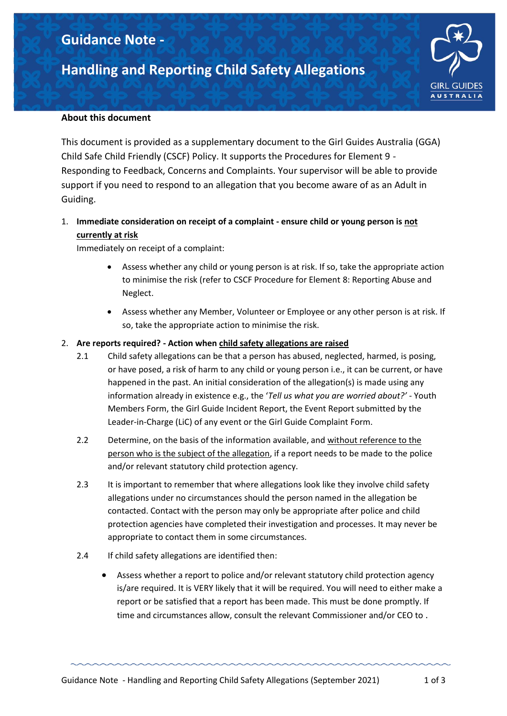## **Guidance Note -**

# **Handling and Reporting Child Safety Allegations**



#### **About this document**

This document is provided as a supplementary document to the Girl Guides Australia (GGA) Child Safe Child Friendly (CSCF) Policy. It supports the Procedures for Element 9 - Responding to Feedback, Concerns and Complaints. Your supervisor will be able to provide support if you need to respond to an allegation that you become aware of as an Adult in Guiding.

## 1. **Immediate consideration on receipt of a complaint - ensure child or young person is not currently at risk**

Immediately on receipt of a complaint:

- Assess whether any child or young person is at risk. If so, take the appropriate action to minimise the risk (refer to CSCF Procedure for Element 8: Reporting Abuse and Neglect.
- Assess whether any Member, Volunteer or Employee or any other person is at risk. If so, take the appropriate action to minimise the risk.

#### 2. **Are reports required? - Action when child safety allegations are raised**

- 2.1 Child safety allegations can be that a person has abused, neglected, harmed, is posing, or have posed, a risk of harm to any child or young person i.e., it can be current, or have happened in the past. An initial consideration of the allegation(s) is made using any information already in existence e.g., the '*Tell us what you are worried about?'* - Youth Members Form, the Girl Guide Incident Report, the Event Report submitted by the Leader-in-Charge (LiC) of any event or the Girl Guide Complaint Form.
- 2.2 Determine, on the basis of the information available, and without reference to the person who is the subject of the allegation, if a report needs to be made to the police and/or relevant statutory child protection agency.
- 2.3 It is important to remember that where allegations look like they involve child safety allegations under no circumstances should the person named in the allegation be contacted. Contact with the person may only be appropriate after police and child protection agencies have completed their investigation and processes. It may never be appropriate to contact them in some circumstances.
- 2.4 If child safety allegations are identified then:
	- Assess whether a report to police and/or relevant statutory child protection agency is/are required. It is VERY likely that it will be required. You will need to either make a report or be satisfied that a report has been made. This must be done promptly. If time and circumstances allow, consult the relevant Commissioner and/or CEO to .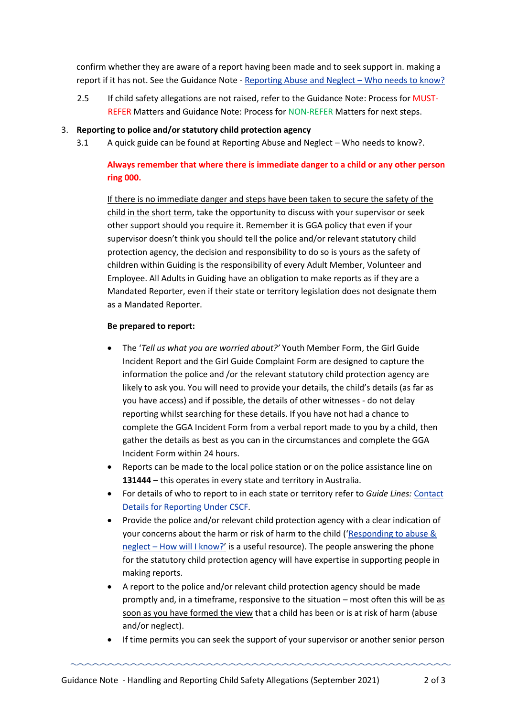confirm whether they are aware of a report having been made and to seek support in. making a report if it has not. See the Guidance Note - [Reporting Abuse and Neglect](https://guidelineforgirlguides/wp-content/uploads/2021/10/Guidance-Note-Reporting-Abuse-and-Neglect-Who-Needs-to-Know.pdf) - Who needs to know?

2.5 If child safety allegations are not raised, refer to the Guidance Note: Process for MUST-REFER Matters and Guidance Note: Process for NON-REFER Matters for next steps.

#### 3. **Reporting to police and/or statutory child protection agency**

3.1 A quick guide can be found a[t Reporting Abuse and Neglect](https://word-edit.officeapps.live.com/we/WordViewer/request.pdf?WOPIsrc=https%3A%2F%2Fwopi%2Edropbox%2Ecom%2Fwopi%2Ffiles%2F%2DAne9oUDhlAAAAAAAAAAAg&&&type=printpdf&rndm=af8cec0d-42a5-48af-abbe-3d8706dcbe50&useNamedAction=1&usid=b14c74ac-adb9-44ac-95ca-c731d549f144&build=16.0.12901.37775&waccluster=PSG1) – Who needs to know?.

### **Always remember that where there is immediate danger to a child or any other person ring 000.**

If there is no immediate danger and steps have been taken to secure the safety of the child in the short term, take the opportunity to discuss with your supervisor or seek other support should you require it. Remember it is GGA policy that even if your supervisor doesn't think you should tell the police and/or relevant statutory child protection agency, the decision and responsibility to do so is yours as the safety of children within Guiding is the responsibility of every Adult Member, Volunteer and Employee. All Adults in Guiding have an obligation to make reports as if they are a Mandated Reporter, even if their state or territory legislation does not designate them as a Mandated Reporter.

#### **Be prepared to report:**

- The '*Tell us what you are worried about?'* Youth Member Form, the Girl Guide Incident Report and the Girl Guide Complaint Form are designed to capture the information the police and /or the relevant statutory child protection agency are likely to ask you. You will need to provide your details, the child's details (as far as you have access) and if possible, the details of other witnesses - do not delay reporting whilst searching for these details. If you have not had a chance to complete the GGA Incident Form from a verbal report made to you by a child, then gather the details as best as you can in the circumstances and complete the GGA Incident Form within 24 hours.
- Reports can be made to the local police station or on the police assistance line on **131444** – this operates in every state and territory in Australia.
- For details of who to report to in each state or territory refer to *Guide Lines:* [Contact](https://guidelinesforgirlguides/cscf/contact-details-for-reporting-under-cscf/)  [Details for Reporting Under CSCF.](https://guidelinesforgirlguides/cscf/contact-details-for-reporting-under-cscf/)
- Provide the police and/or relevant child protection agency with a clear indication of your concerns about the harm or risk of harm to the child ('[Responding to abuse &](https://guidelinesforgilrguides/wp-content/uploads/2021/10/Guidance-Note-Responding-to-Abuse-and-Neglect-How-Will-I-Know.pdf)  neglect – [How will I know?](https://guidelinesforgilrguides/wp-content/uploads/2021/10/Guidance-Note-Responding-to-Abuse-and-Neglect-How-Will-I-Know.pdf)' is a useful resource). The people answering the phone for the statutory child protection agency will have expertise in supporting people in making reports.
- A report to the police and/or relevant child protection agency should be made promptly and, in a timeframe, responsive to the situation – most often this will be as soon as you have formed the view that a child has been or is at risk of harm (abuse and/or neglect).
- If time permits you can seek the support of your supervisor or another senior person